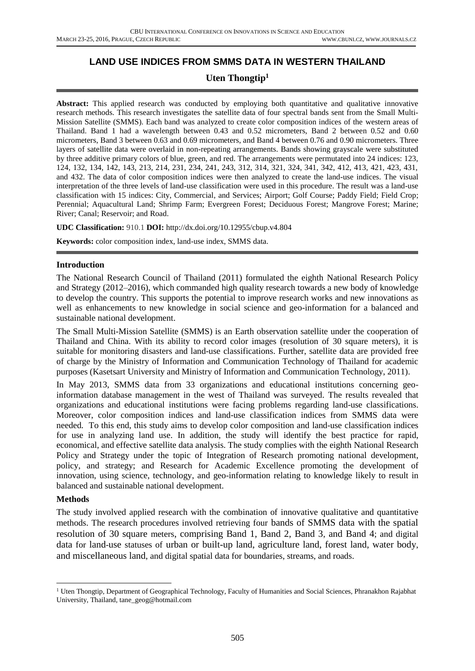# **LAND USE INDICES FROM SMMS DATA IN WESTERN THAILAND**

## **Uten Thongtip<sup>1</sup>**

Abstract: This applied research was conducted by employing both quantitative and qualitative innovative research methods. This research investigates the satellite data of four spectral bands sent from the Small Multi-Mission Satellite (SMMS). Each band was analyzed to create color composition indices of the western areas of Thailand. Band 1 had a wavelength between 0.43 and 0.52 micrometers, Band 2 between 0.52 and 0.60 micrometers, Band 3 between 0.63 and 0.69 micrometers, and Band 4 between 0.76 and 0.90 micrometers. Three layers of satellite data were overlaid in non-repeating arrangements. Bands showing grayscale were substituted by three additive primary colors of blue, green, and red. The arrangements were permutated into 24 indices: 123, 124, 132, 134, 142, 143, 213, 214, 231, 234, 241, 243, 312, 314, 321, 324, 341, 342, 412, 413, 421, 423, 431, and 432. The data of color composition indices were then analyzed to create the land-use indices. The visual interpretation of the three levels of land-use classification were used in this procedure. The result was a land-use classification with 15 indices: City, Commercial, and Services; Airport; Golf Course; Paddy Field; Field Crop; Perennial; Aquacultural Land; Shrimp Farm; Evergreen Forest; Deciduous Forest; Mangrove Forest; Marine; River; Canal; Reservoir; and Road.

#### **UDC Classification:** 910.1 **DOI:** http://dx.doi.org/10.12955/cbup.v4.804

**Keywords:** color composition index, land-use index, SMMS data.

#### **Introduction**

The National Research Council of Thailand (2011) formulated the eighth National Research Policy and Strategy (2012–2016), which commanded high quality research towards a new body of knowledge to develop the country. This supports the potential to improve research works and new innovations as well as enhancements to new knowledge in social science and geo-information for a balanced and sustainable national development.

The Small Multi-Mission Satellite (SMMS) is an Earth observation satellite under the cooperation of Thailand and China. With its ability to record color images (resolution of 30 square meters), it is suitable for monitoring disasters and land-use classifications. Further, satellite data are provided free of charge by the Ministry of Information and Communication Technology of Thailand for academic purposes (Kasetsart University and Ministry of Information and Communication Technology, 2011).

In May 2013, SMMS data from 33 organizations and educational institutions concerning geoinformation database management in the west of Thailand was surveyed. The results revealed that organizations and educational institutions were facing problems regarding land-use classifications. Moreover, color composition indices and land-use classification indices from SMMS data were needed. To this end, this study aims to develop color composition and land-use classification indices for use in analyzing land use. In addition, the study will identify the best practice for rapid, economical, and effective satellite data analysis. The study complies with the eighth National Research Policy and Strategy under the topic of Integration of Research promoting national development, policy, and strategy; and Research for Academic Excellence promoting the development of innovation, using science, technology, and geo-information relating to knowledge likely to result in balanced and sustainable national development.

#### **Methods**

**.** 

The study involved applied research with the combination of innovative qualitative and quantitative methods. The research procedures involved retrieving four bands of SMMS data with the spatial resolution of 30 square meters, comprising Band 1, Band 2, Band 3, and Band 4; and digital data for land-use statuses of urban or built-up land, agriculture land, forest land, water body, and miscellaneous land, and digital spatial data for boundaries, streams, and roads.

<sup>&</sup>lt;sup>1</sup> Uten Thongtip, Department of Geographical Technology, Faculty of Humanities and Social Sciences, Phranakhon Rajabhat University, Thailand, tane\_geog@hotmail.com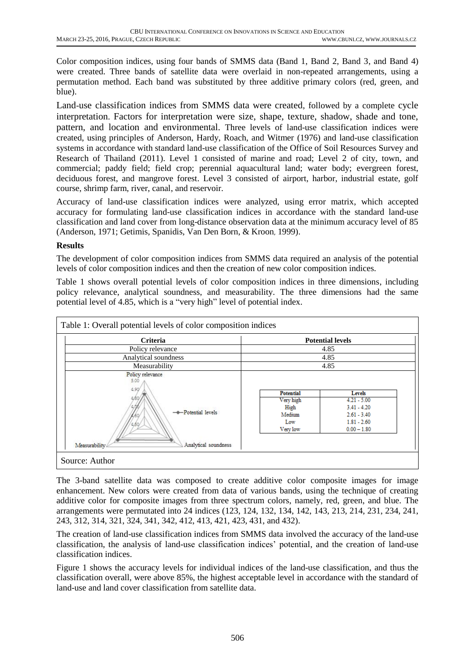Color composition indices, using four bands of SMMS data (Band 1, Band 2, Band 3, and Band 4) were created. Three bands of satellite data were overlaid in non-repeated arrangements, using a permutation method. Each band was substituted by three additive primary colors (red, green, and blue).

Land-use classification indices from SMMS data were created, followed by a complete cycle interpretation. Factors for interpretation were size, shape, texture, shadow, shade and tone, pattern, and location and environmental. Three levels of land-use classification indices were created, using principles of Anderson, Hardy, Roach, and Witmer (1976) and land-use classification systems in accordance with standard land-use classification of the Office of Soil Resources Survey and Research of Thailand (2011). Level 1 consisted of marine and road; Level 2 of city, town, and commercial; paddy field; field crop; perennial aquacultural land; water body; evergreen forest, deciduous forest, and mangrove forest. Level 3 consisted of airport, harbor, industrial estate, golf course, shrimp farm, river, canal, and reservoir.

Accuracy of land-use classification indices were analyzed, using error matrix, which accepted accuracy for formulating land-use classification indices in accordance with the standard land-use classification and land cover from long-distance observation data at the minimum accuracy level of 85 (Anderson, 1971; Getimis, Spanidis, Van Den Born, & Kroon, 1999).

## **Results**

The development of color composition indices from SMMS data required an analysis of the potential levels of color composition indices and then the creation of new color composition indices.

Table 1 shows overall potential levels of color composition indices in three dimensions, including policy relevance, analytical soundness, and measurability. The three dimensions had the same potential level of 4.85, which is a "very high" level of potential index.

| Policy relevance<br>Analytical soundness<br>Measurability<br>Policy relevance<br>5.00<br>4.90 |                                                             | 4.85<br>4.85<br>4.85                                                                        |
|-----------------------------------------------------------------------------------------------|-------------------------------------------------------------|---------------------------------------------------------------------------------------------|
|                                                                                               |                                                             |                                                                                             |
|                                                                                               |                                                             |                                                                                             |
|                                                                                               |                                                             |                                                                                             |
| -+-Potential levels                                                                           | Potential<br>Very high<br>High<br>Medium<br>Low<br>Very low | Levels<br>$4.21 - 5.00$<br>$3.41 - 4.20$<br>$2.61 - 3.40$<br>$1.81 - 2.60$<br>$0.00 - 1.80$ |

The 3-band satellite data was composed to create additive color composite images for image enhancement. New colors were created from data of various bands, using the technique of creating additive color for composite images from three spectrum colors, namely, red, green, and blue. The arrangements were permutated into 24 indices (123, 124, 132, 134, 142, 143, 213, 214, 231, 234, 241, 243, 312, 314, 321, 324, 341, 342, 412, 413, 421, 423, 431, and 432).

The creation of land-use classification indices from SMMS data involved the accuracy of the land-use classification, the analysis of land-use classification indices' potential, and the creation of land-use classification indices.

Figure 1 shows the accuracy levels for individual indices of the land-use classification, and thus the classification overall, were above 85%, the highest acceptable level in accordance with the standard of land-use and land cover classification from satellite data.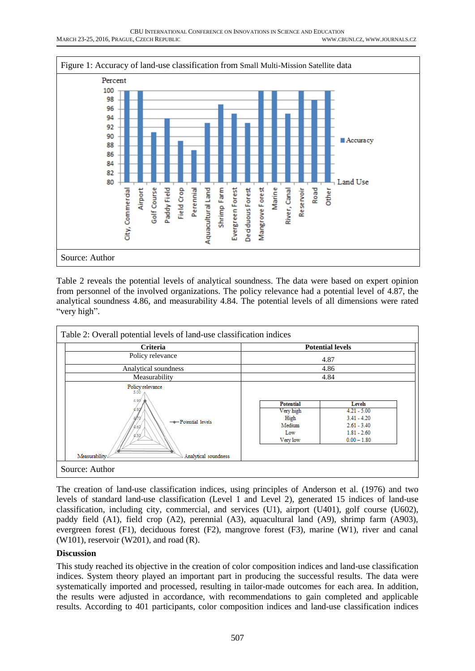

Table 2 reveals the potential levels of analytical soundness. The data were based on expert opinion from personnel of the involved organizations. The policy relevance had a potential level of 4.87, the analytical soundness 4.86, and measurability 4.84. The potential levels of all dimensions were rated "very high".

| <b>Criteria</b>                                                                                        | <b>Potential levels</b>                                            |                                                                                             |
|--------------------------------------------------------------------------------------------------------|--------------------------------------------------------------------|---------------------------------------------------------------------------------------------|
| Policy relevance                                                                                       | 4.87                                                               |                                                                                             |
| Analytical soundness                                                                                   | 4.86                                                               |                                                                                             |
| Measurability                                                                                          | 4.84                                                               |                                                                                             |
| Policy relevance<br>5.00<br>4.90<br>-+-Potential levels<br>50<br>Measurability<br>Analytical soundness | <b>Potential</b><br>Very high<br>High<br>Medium<br>Low<br>Very low | Levels<br>$4.21 - 5.00$<br>$3.41 - 4.20$<br>$2.61 - 3.40$<br>$1.81 - 2.60$<br>$0.00 - 1.80$ |

The creation of land-use classification indices, using principles of Anderson et al. (1976) and two levels of standard land-use classification (Level 1 and Level 2), generated 15 indices of land-use classification, including city, commercial, and services (U1), airport (U401), golf course (U602), paddy field (A1), field crop (A2), perennial (A3), aquacultural land (A9), shrimp farm (A903), evergreen forest (F1), deciduous forest (F2), mangrove forest (F3), marine (W1), river and canal (W101), reservoir (W201), and road (R).

## **Discussion**

This study reached its objective in the creation of color composition indices and land-use classification indices. System theory played an important part in producing the successful results. The data were systematically imported and processed, resulting in tailor-made outcomes for each area. In addition, the results were adjusted in accordance, with recommendations to gain completed and applicable results. According to 401 participants, color composition indices and land-use classification indices